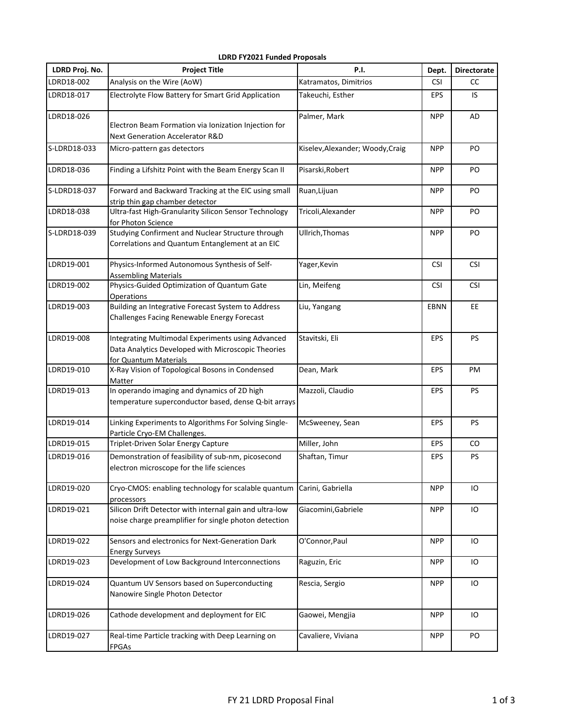| LDRD Proj. No. | <b>Project Title</b>                                                                                                             | P.I.                             | Dept.       | <b>Directorate</b> |
|----------------|----------------------------------------------------------------------------------------------------------------------------------|----------------------------------|-------------|--------------------|
| LDRD18-002     | Analysis on the Wire (AoW)                                                                                                       | Katramatos, Dimitrios            | <b>CSI</b>  | <b>CC</b>          |
| LDRD18-017     | Electrolyte Flow Battery for Smart Grid Application                                                                              | Takeuchi, Esther                 | <b>EPS</b>  | <b>IS</b>          |
| LDRD18-026     | Electron Beam Formation via Ionization Injection for<br><b>Next Generation Accelerator R&amp;D</b>                               | Palmer, Mark                     | <b>NPP</b>  | AD                 |
| S-LDRD18-033   | Micro-pattern gas detectors                                                                                                      | Kiselev, Alexander; Woody, Craig | <b>NPP</b>  | PO                 |
| LDRD18-036     | Finding a Lifshitz Point with the Beam Energy Scan II                                                                            | Pisarski, Robert                 | <b>NPP</b>  | PO                 |
| S-LDRD18-037   | Forward and Backward Tracking at the EIC using small<br>strip thin gap chamber detector                                          | Ruan, Lijuan                     | <b>NPP</b>  | PO                 |
| LDRD18-038     | Ultra-fast High-Granularity Silicon Sensor Technology<br>for Photon Science                                                      | Tricoli, Alexander               | <b>NPP</b>  | PO                 |
| S-LDRD18-039   | Studying Confirment and Nuclear Structure through<br>Correlations and Quantum Entanglement at an EIC                             | Ullrich, Thomas                  | <b>NPP</b>  | PO                 |
| LDRD19-001     | Physics-Informed Autonomous Synthesis of Self-<br><b>Assembling Materials</b>                                                    | Yager, Kevin                     | <b>CSI</b>  | <b>CSI</b>         |
| LDRD19-002     | Physics-Guided Optimization of Quantum Gate<br>Operations                                                                        | Lin, Meifeng                     | <b>CSI</b>  | <b>CSI</b>         |
| LDRD19-003     | Building an Integrative Forecast System to Address<br>Challenges Facing Renewable Energy Forecast                                | Liu, Yangang                     | <b>EBNN</b> | EE                 |
| LDRD19-008     | Integrating Multimodal Experiments using Advanced<br>Data Analytics Developed with Microscopic Theories<br>for Quantum Materials | Stavitski, Eli                   | EPS         | PS                 |
| LDRD19-010     | X-Ray Vision of Topological Bosons in Condensed<br>Matter                                                                        | Dean, Mark                       | <b>EPS</b>  | PM                 |
| LDRD19-013     | In operando imaging and dynamics of 2D high<br>temperature superconductor based, dense Q-bit arrays                              | Mazzoli, Claudio                 | <b>EPS</b>  | <b>PS</b>          |
| LDRD19-014     | Linking Experiments to Algorithms For Solving Single-<br>Particle Cryo-EM Challenges.                                            | McSweeney, Sean                  | <b>EPS</b>  | <b>PS</b>          |
| LDRD19-015     | Triplet-Driven Solar Energy Capture                                                                                              | Miller, John                     | EPS         | CO                 |
| LDRD19-016     | Demonstration of feasibility of sub-nm, picosecond<br>electron microscope for the life sciences                                  | Shaftan, Timur                   | EPS         | <b>PS</b>          |
| LDRD19-020     | Cryo-CMOS: enabling technology for scalable quantum<br>processors                                                                | Carini, Gabriella                | <b>NPP</b>  | IO                 |
| LDRD19-021     | Silicon Drift Detector with internal gain and ultra-low<br>noise charge preamplifier for single photon detection                 | Giacomini, Gabriele              | <b>NPP</b>  | IO                 |
| LDRD19-022     | Sensors and electronics for Next-Generation Dark<br><b>Energy Surveys</b>                                                        | O'Connor, Paul                   | <b>NPP</b>  | IO                 |
| LDRD19-023     | Development of Low Background Interconnections                                                                                   | Raguzin, Eric                    | <b>NPP</b>  | IO                 |
| LDRD19-024     | Quantum UV Sensors based on Superconducting<br>Nanowire Single Photon Detector                                                   | Rescia, Sergio                   | <b>NPP</b>  | IO                 |
| LDRD19-026     | Cathode development and deployment for EIC                                                                                       | Gaowei, Mengjia                  | <b>NPP</b>  | IO                 |
| LDRD19-027     | Real-time Particle tracking with Deep Learning on<br>FPGAs                                                                       | Cavaliere, Viviana               | <b>NPP</b>  | PO                 |

## **LDRD FY2021 Funded Proposals**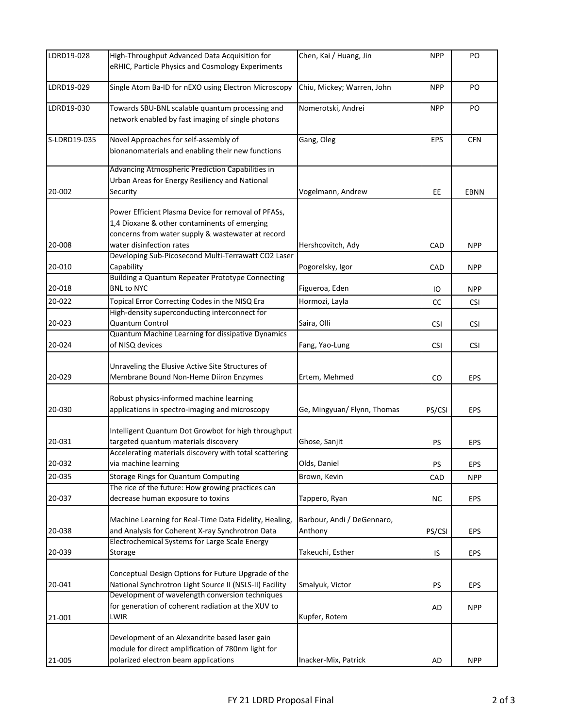| LDRD19-028       | High-Throughput Advanced Data Acquisition for<br>eRHIC, Particle Physics and Cosmology Experiments                                                                                                                      | Chen, Kai / Huang, Jin                | <b>NPP</b> | PO                       |
|------------------|-------------------------------------------------------------------------------------------------------------------------------------------------------------------------------------------------------------------------|---------------------------------------|------------|--------------------------|
| LDRD19-029       | Single Atom Ba-ID for nEXO using Electron Microscopy                                                                                                                                                                    | Chiu, Mickey; Warren, John            | <b>NPP</b> | PO                       |
| LDRD19-030       | Towards SBU-BNL scalable quantum processing and<br>network enabled by fast imaging of single photons                                                                                                                    | Nomerotski, Andrei                    | <b>NPP</b> | PO                       |
| S-LDRD19-035     | Novel Approaches for self-assembly of<br>bionanomaterials and enabling their new functions                                                                                                                              | Gang, Oleg                            | <b>EPS</b> | <b>CFN</b>               |
| 20-002           | Advancing Atmospheric Prediction Capabilities in<br>Urban Areas for Energy Resiliency and National<br>Security                                                                                                          | Vogelmann, Andrew                     | EE.        | <b>EBNN</b>              |
| 20-008           | Power Efficient Plasma Device for removal of PFASs,<br>1,4 Dioxane & other contaminents of emerging<br>concerns from water supply & wastewater at record<br>water disinfection rates                                    | Hershcovitch, Ady                     | CAD        | <b>NPP</b>               |
| 20-010           | Developing Sub-Picosecond Multi-Terrawatt CO2 Laser<br>Capability                                                                                                                                                       | Pogorelsky, Igor                      | CAD        | <b>NPP</b>               |
| 20-018           | Building a Quantum Repeater Prototype Connecting<br><b>BNL to NYC</b>                                                                                                                                                   | Figueroa, Eden                        | IО         | <b>NPP</b>               |
| 20-022           | Topical Error Correcting Codes in the NISQ Era                                                                                                                                                                          | Hormozi, Layla                        | CC         | <b>CSI</b>               |
| 20-023           | High-density superconducting interconnect for<br>Quantum Control                                                                                                                                                        | Saira, Olli                           | <b>CSI</b> | <b>CSI</b>               |
| 20-024           | Quantum Machine Learning for dissipative Dynamics<br>of NISQ devices                                                                                                                                                    | Fang, Yao-Lung                        | <b>CSI</b> | <b>CSI</b>               |
| 20-029           | Unraveling the Elusive Active Site Structures of<br>Membrane Bound Non-Heme Diiron Enzymes                                                                                                                              | Ertem, Mehmed                         | CO         | EPS                      |
| 20-030           | Robust physics-informed machine learning<br>applications in spectro-imaging and microscopy                                                                                                                              | Ge, Mingyuan/ Flynn, Thomas           | PS/CSI     | <b>EPS</b>               |
| 20-031           | Intelligent Quantum Dot Growbot for high throughput<br>targeted quantum materials discovery<br>Accelerating materials discovery with total scattering                                                                   | Ghose, Sanjit                         | PS         | EPS                      |
| 20-032           | via machine learning                                                                                                                                                                                                    | Olds, Daniel                          | PS         | <b>EPS</b>               |
| 20-035           | <b>Storage Rings for Quantum Computing</b>                                                                                                                                                                              | Brown, Kevin                          | CAD        | <b>NPP</b>               |
| 20-037           | The rice of the future: How growing practices can<br>decrease human exposure to toxins                                                                                                                                  | Tappero, Ryan                         | ΝC         | <b>EPS</b>               |
| 20-038           | Machine Learning for Real-Time Data Fidelity, Healing,<br>and Analysis for Coherent X-ray Synchrotron Data                                                                                                              | Barbour, Andi / DeGennaro,<br>Anthony | PS/CSI     | <b>EPS</b>               |
| 20-039           | Electrochemical Systems for Large Scale Energy<br>Storage                                                                                                                                                               | Takeuchi, Esther                      | IS         | EPS                      |
| 20-041           | Conceptual Design Options for Future Upgrade of the<br>National Synchrotron Light Source II (NSLS-II) Facility<br>Development of wavelength conversion techniques<br>for generation of coherent radiation at the XUV to | Smalyuk, Victor                       | PS<br>AD   | <b>EPS</b><br><b>NPP</b> |
| 21-001<br>21-005 | LWIR<br>Development of an Alexandrite based laser gain<br>module for direct amplification of 780nm light for<br>polarized electron beam applications                                                                    | Kupfer, Rotem<br>Inacker-Mix, Patrick | AD         | <b>NPP</b>               |